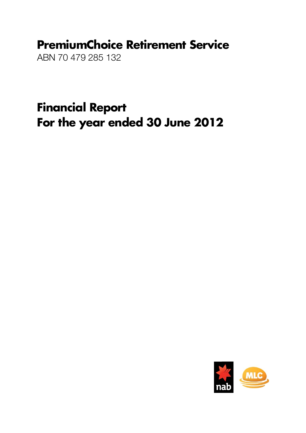# PremiumChoice Retirement Service

ABN 70 479 285 132

Financial Report For the year ended 30 June 2012

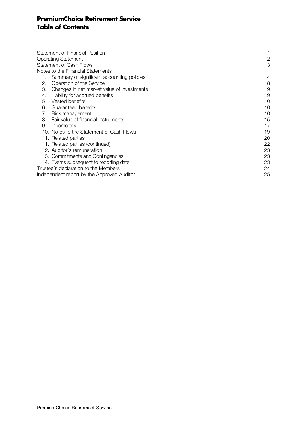# PremiumChoice Retirement Service Table of Contents

|    | <b>Statement of Financial Position</b>     |                |
|----|--------------------------------------------|----------------|
|    | <b>Operating Statement</b>                 | $\mathbf{2}$   |
|    | <b>Statement of Cash Flows</b>             | 3              |
|    | Notes to the Financial Statements          |                |
|    | Summary of significant accounting policies | $\overline{4}$ |
| 2. | Operation of the Service                   | 8              |
| З. | Changes in net market value of investments | .9             |
| 4. | Liability for accrued benefits             | 9              |
| 5. | Vested benefits                            | 10             |
| 6. | Guaranteed benefits                        | .10            |
| 7. | Risk management                            | 10             |
| 8. | Fair value of financial instruments        | 15             |
| 9. | Income tax                                 | 17             |
|    | 10. Notes to the Statement of Cash Flows   | 19             |
|    | 11. Related parties                        | 20             |
|    | 11. Related parties (continued)            | 22             |
|    | 12. Auditor's remuneration                 | 23             |
|    | 13. Commitments and Contingencies          | 23             |
|    | 14. Events subsequent to reporting date    | 23             |
|    | Trustee's declaration to the Members       | 24             |
|    | Independent report by the Approved Auditor | 25             |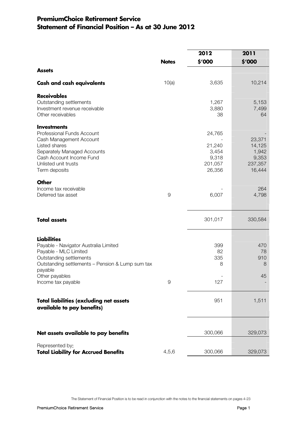# PremiumChoice Retirement Service Statement of Financial Position – As at 30 June 2012

|                                                                              |              | 2012        | 2011             |
|------------------------------------------------------------------------------|--------------|-------------|------------------|
|                                                                              | <b>Notes</b> | \$'000      | \$'000           |
| <b>Assets</b>                                                                |              |             |                  |
| <b>Cash and cash equivalents</b>                                             | 10(a)        | 3,635       | 10,214           |
| <b>Receivables</b>                                                           |              |             |                  |
| Outstanding settlements                                                      |              | 1,267       | 5,153            |
| Investment revenue receivable<br>Other receivables                           |              | 3,880<br>38 | 7,499<br>64      |
| <b>Investments</b>                                                           |              |             |                  |
| Professional Funds Account                                                   |              | 24,765      |                  |
| Cash Management Account<br>Listed shares                                     |              | 21,240      | 23,371<br>14,125 |
| Separately Managed Accounts                                                  |              | 3,454       | 1,942            |
| Cash Account Income Fund                                                     |              | 9,318       | 9,353            |
| Unlisted unit trusts                                                         |              | 201,057     | 237,357          |
| Term deposits                                                                |              | 26,356      | 16,444           |
| <b>Other</b>                                                                 |              |             |                  |
| Income tax receivable                                                        |              |             | 264              |
| Deferred tax asset                                                           | 9            | 6,007       | 4,798            |
| <b>Total assets</b>                                                          |              | 301,017     | 330,584          |
| <b>Liabilities</b>                                                           |              |             |                  |
| Payable - Navigator Australia Limited                                        |              | 399         | 470              |
| Payable - MLC Limited                                                        |              | 82          | 78               |
| Outstanding settlements                                                      |              | 335         | 910              |
| Outstanding settlements - Pension & Lump sum tax                             |              | 8           | 8                |
| payable                                                                      |              |             | 45               |
| Other payables<br>Income tax payable                                         | $\Theta$     | 127         |                  |
|                                                                              |              |             |                  |
| <b>Total liabilities (excluding net assets</b><br>available to pay benefits) |              | 951         | 1,511            |
| Net assets available to pay benefits                                         |              | 300,066     | 329,073          |
|                                                                              |              |             |                  |
| Represented by:<br><b>Total Liability for Accrued Benefits</b>               | 4,5,6        | 300,066     | 329,073          |

The Statement of Financial Position is to be read in conjunction with the notes to the financial statements on pages 4-23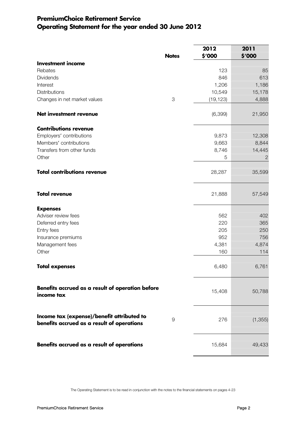# PremiumChoice Retirement Service Operating Statement for the year ended 30 June 2012

|                                                                                          | <b>Notes</b> | 2012<br>\$'000 | 2011<br>\$'000 |
|------------------------------------------------------------------------------------------|--------------|----------------|----------------|
| <b>Investment income</b>                                                                 |              |                |                |
| Rebates                                                                                  |              | 123            | 85             |
| Dividends                                                                                |              | 846            | 613            |
| Interest                                                                                 |              | 1,206          | 1,186          |
| Distributions                                                                            |              | 10,549         | 15,178         |
| Changes in net market values                                                             | 3            | (19, 123)      | 4,888          |
| Net investment revenue                                                                   |              | (6, 399)       | 21,950         |
| <b>Contributions revenue</b>                                                             |              |                |                |
| Employers' contributions                                                                 |              | 9,873          | 12,308         |
| Members' contributions                                                                   |              | 9,663          | 8,844          |
| Transfers from other funds                                                               |              | 8,746          | 14,445         |
| Other                                                                                    |              | 5              | $\mathbf{2}$   |
| <b>Total contributions revenue</b>                                                       |              | 28,287         | 35,599         |
| <b>Total revenue</b>                                                                     |              | 21,888         | 57,549         |
| <b>Expenses</b>                                                                          |              |                |                |
| Adviser review fees                                                                      |              | 562            | 402            |
| Deferred entry fees                                                                      |              | 220            | 365            |
| Entry fees                                                                               |              | 205            | 250            |
| Insurance premiums                                                                       |              | 952            | 756            |
| Management fees                                                                          |              | 4,381          | 4,874          |
| Other                                                                                    |              | 160            | 114            |
| <b>Total expenses</b>                                                                    |              | 6,480          | 6,761          |
| Benefits accrued as a result of operation before<br>income tax                           |              | 15,408         | 50,788         |
| Income tax (expense)/benefit attributed to<br>benefits accrued as a result of operations | 9            | 276            | (1, 355)       |
| Benefits accrued as a result of operations                                               |              | 15,684         | 49,433         |

The Operating Statement is to be read in conjunction with the notes to the financial statements on pages 4-23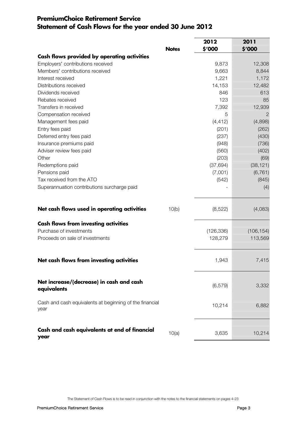# PremiumChoice Retirement Service Statement of Cash Flows for the year ended 30 June 2012

|                                                                 |              | 2012       | 2011       |
|-----------------------------------------------------------------|--------------|------------|------------|
|                                                                 | <b>Notes</b> | \$'000     | \$'000     |
| Cash flows provided by operating activities                     |              |            |            |
| Employers' contributions received                               |              | 9,873      | 12,308     |
| Members' contributions received                                 |              | 9,663      | 8,844      |
| Interest received                                               |              | 1,221      | 1,172      |
| Distributions received                                          |              | 14,153     | 12,482     |
| Dividends received                                              |              | 846        | 613        |
| Rebates received                                                |              | 123        | 85         |
| Transfers in received                                           |              | 7,392      | 12,939     |
| Compensation received                                           |              | 5          | 2          |
| Management fees paid                                            |              | (4, 412)   | (4,898)    |
| Entry fees paid                                                 |              | (201)      | (262)      |
| Deferred entry fees paid                                        |              | (237)      | (430)      |
| Insurance premiums paid                                         |              | (948)      | (736)      |
| Adviser review fees paid                                        |              | (560)      | (402)      |
| Other                                                           |              | (203)      | (69)       |
| Redemptions paid                                                |              | (37, 694)  | (38, 121)  |
| Pensions paid                                                   |              | (7,001)    | (6, 761)   |
| Tax received from the ATO                                       |              | (542)      | (845)      |
| Superannuation contributions surcharge paid                     |              |            | (4)        |
| Net cash flows used in operating activities                     | 10(b)        | (8,522)    | (4,083)    |
| <b>Cash flows from investing activities</b>                     |              |            |            |
| Purchase of investments                                         |              | (126, 336) | (106, 154) |
| Proceeds on sale of investments                                 |              | 128,279    | 113,569    |
|                                                                 |              |            |            |
| Net cash flows from investing activities                        |              | 1,943      | 7,415      |
| Net increase/(decrease) in cash and cash<br>equivalents         |              | (6, 579)   | 3,332      |
| Cash and cash equivalents at beginning of the financial<br>year |              | 10,214     | 6,882      |
| Cash and cash equivalents at end of financial<br>year           | 10(a)        | 3,635      | 10,214     |

The Statement of Cash Flows is to be read in conjunction with the notes to the financial statements on pages 4-23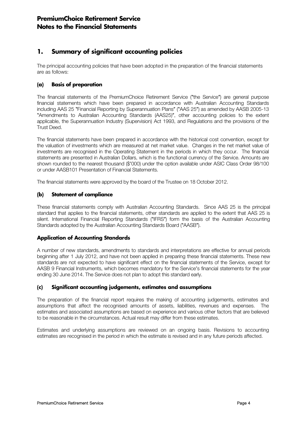# 1. Summary of significant accounting policies

The principal accounting policies that have been adopted in the preparation of the financial statements are as follows:

### (a) Basis of preparation

The financial statements of the PremiumChoice Retirement Service ("the Service") are general purpose financial statements which have been prepared in accordance with Australian Accounting Standards including AAS 25 "Financial Reporting by Superannuation Plans" ("AAS 25") as amended by AASB 2005-13 "Amendments to Australian Accounting Standards (AAS25)", other accounting policies to the extent applicable, the Superannuation Industry (Supervision) Act 1993, and Regulations and the provisions of the Trust Deed.

The financial statements have been prepared in accordance with the historical cost convention, except for the valuation of investments which are measured at net market value. Changes in the net market value of investments are recognised in the Operating Statement in the periods in which they occur. The financial statements are presented in Australian Dollars, which is the functional currency of the Service. Amounts are shown rounded to the nearest thousand (\$'000) under the option available under ASIC Class Order 98/100 or under AASB101 Presentation of Financial Statements.

The financial statements were approved by the board of the Trustee on 18 October 2012.

### (b) Statement of compliance

These financial statements comply with Australian Accounting Standards. Since AAS 25 is the principal standard that applies to the financial statements, other standards are applied to the extent that AAS 25 is silent. International Financial Reporting Standards ("IFRS") form the basis of the Australian Accounting Standards adopted by the Australian Accounting Standards Board ("AASB").

### Application of Accounting Standards

A number of new standards, amendments to standards and interpretations are effective for annual periods beginning after 1 July 2012, and have not been applied in preparing these financial statements. These new standards are not expected to have significant effect on the financial statements of the Service, except for AASB 9 Financial Instruments, which becomes mandatory for the Service's financial statements for the year ending 30 June 2014. The Service does not plan to adopt this standard early.

### (c) Significant accounting judgements, estimates and assumptions

The preparation of the financial report requires the making of accounting judgements, estimates and assumptions that affect the recognised amounts of assets, liabilities, revenues and expenses. The estimates and associated assumptions are based on experience and various other factors that are believed to be reasonable in the circumstances. Actual result may differ from these estimates.

Estimates and underlying assumptions are reviewed on an ongoing basis. Revisions to accounting estimates are recognised in the period in which the estimate is revised and in any future periods affected.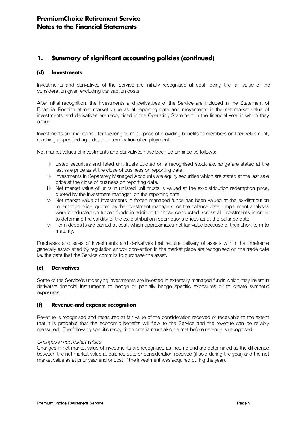### (d) Investments

Investments and derivatives of the Service are initially recognised at cost, being the fair value of the consideration given excluding transaction costs.

After initial recognition, the investments and derivatives of the Service are included in the Statement of Financial Position at net market value as at reporting date and movements in the net market value of investments and derivatives are recognised in the Operating Statement in the financial year in which they occur.

Investments are maintained for the long-term purpose of providing benefits to members on their retirement, reaching a specified age, death or termination of employment.

Net market values of investments and derivatives have been determined as follows:

- i) Listed securities and listed unit trusts quoted on a recognised stock exchange are stated at the last sale price as at the close of business on reporting date.
- ii) Investments in Separately Managed Accounts are equity securities which are stated at the last sale price at the close of business on reporting date.
- iii) Net market value of units in unlisted unit trusts is valued at the ex-distribution redemption price, quoted by the investment manager, on the reporting date.
- iv) Net market value of investments in frozen managed funds has been valued at the ex-distribution redemption price, quoted by the investment managers, on the balance date. Impairment analyses were conducted on frozen funds in addition to those conducted across all investments in order to determine the validity of the ex-distribution redemptions prices as at the balance date.
- v) Term deposits are carried at cost, which approximates net fair value because of their short term to maturity.

Purchases and sales of investments and derivatives that require delivery of assets within the timeframe generally established by regulation and/or convention in the market place are recognised on the trade date i.e. the date that the Service commits to purchase the asset.

### (e) Derivatives

Some of the Service's underlying investments are invested in externally managed funds which may invest in derivative financial instruments to hedge or partially hedge specific exposures or to create synthetic exposures.

### (f) Revenue and expense recognition

Revenue is recognised and measured at fair value of the consideration received or receivable to the extent that it is probable that the economic benefits will flow to the Service and the revenue can be reliably measured. The following specific recognition criteria must also be met before revenue is recognised:

### Changes in net market values

Changes in net market value of investments are recognised as income and are determined as the difference between the net market value at balance date or consideration received (if sold during the year) and the net market value as at prior year end or cost (if the investment was acquired during the year).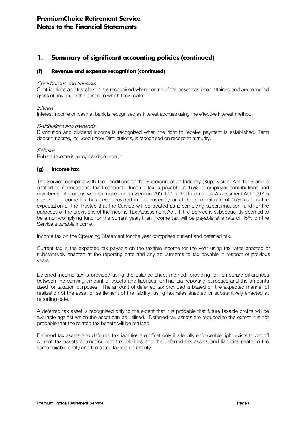### (f) Revenue and expense recognition (continued)

#### Contributions and transfers

Contributions and transfers in are recognised when control of the asset has been attained and are recorded gross of any tax, in the period to which they relate.

#### Interest

Interest income on cash at bank is recognised as interest accrues using the effective interest method.

#### Distributions and dividends

Distribution and dividend income is recognised when the right to receive payment is established. Term deposit income, included under Distributions, is recognised on receipt at maturity.

#### Rebates

Rebate income is recognised on receipt.

#### (g) Income tax

The Service complies with the conditions of the Superannuation Industry (Supervision) Act 1993 and is entitled to concessional tax treatment. Income tax is payable at 15% of employer contributions and member contributions where a notice under Section 290-170 of the Income Tax Assessment Act 1997 is received. Income tax has been provided in the current year at the nominal rate of 15% as it is the expectation of the Trustee that the Service will be treated as a complying superannuation fund for the purposes of the provisions of the Income Tax Assessment Act. If the Service is subsequently deemed to be a non-complying fund for the current year, then income tax will be payable at a rate of 45% on the Service's taxable income.

Income tax on the Operating Statement for the year comprises current and deferred tax.

Current tax is the expected tax payable on the taxable income for the year using tax rates enacted or substantively enacted at the reporting date and any adjustments to tax payable in respect of previous years.

Deferred income tax is provided using the balance sheet method, providing for temporary differences between the carrying amount of assets and liabilities for financial reporting purposes and the amounts used for taxation purposes. The amount of deferred tax provided is based on the expected manner of realisation of the asset or settlement of the liability, using tax rates enacted or substantively enacted at reporting date.

A deferred tax asset is recognised only to the extent that it is probable that future taxable profits will be available against which the asset can be utilised. Deferred tax assets are reduced to the extent it is not probable that the related tax benefit will be realised.

Deferred tax assets and deferred tax liabilities are offset only if a legally enforceable right exists to set off current tax assets against current tax liabilities and the deferred tax assets and liabilities relate to the same taxable entity and the same taxation authority.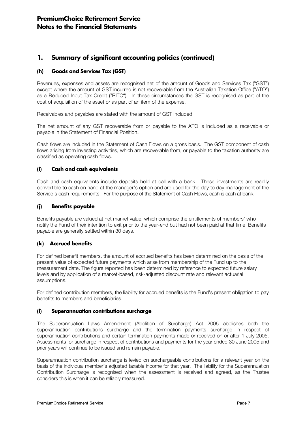### (h) Goods and Services Tax (GST)

Revenues, expenses and assets are recognised net of the amount of Goods and Services Tax ("GST") except where the amount of GST incurred is not recoverable from the Australian Taxation Office ("ATO") as a Reduced Input Tax Credit ("RITC"). In these circumstances the GST is recognised as part of the cost of acquisition of the asset or as part of an item of the expense.

Receivables and payables are stated with the amount of GST included.

The net amount of any GST recoverable from or payable to the ATO is included as a receivable or payable in the Statement of Financial Position.

Cash flows are included in the Statement of Cash Flows on a gross basis. The GST component of cash flows arising from investing activities, which are recoverable from, or payable to the taxation authority are classified as operating cash flows.

### (i) Cash and cash equivalents

Cash and cash equivalents include deposits held at call with a bank. These investments are readily convertible to cash on hand at the manager's option and are used for the day to day management of the Service's cash requirements. For the purpose of the Statement of Cash Flows, cash is cash at bank.

### (j) Benefits payable

Benefits payable are valued at net market value, which comprise the entitlements of members' who notify the Fund of their intention to exit prior to the year-end but had not been paid at that time. Benefits payable are generally settled within 30 days.

### (k) Accrued benefits

For defined benefit members, the amount of accrued benefits has been determined on the basis of the present value of expected future payments which arise from membership of the Fund up to the measurement date. The figure reported has been determined by reference to expected future salary levels and by application of a market-based, risk-adjusted discount rate and relevant actuarial assumptions.

For defined contribution members, the liability for accrued benefits is the Fund's present obligation to pay benefits to members and beneficiaries.

### (l) Superannuation contributions surcharge

The Superannuation Laws Amendment (Abolition of Surcharge) Act 2005 abolishes both the superannuation contributions surcharge and the termination payments surcharge in respect of superannuation contributions and certain termination payments made or received on or after 1 July 2005. Assessments for surcharge in respect of contributions and payments for the year ended 30 June 2005 and prior years will continue to be issued and remain payable.

Superannuation contribution surcharge is levied on surchargeable contributions for a relevant year on the basis of the individual member's adjusted taxable income for that year. The liability for the Superannuation Contribution Surcharge is recognised when the assessment is received and agreed, as the Trustee considers this is when it can be reliably measured.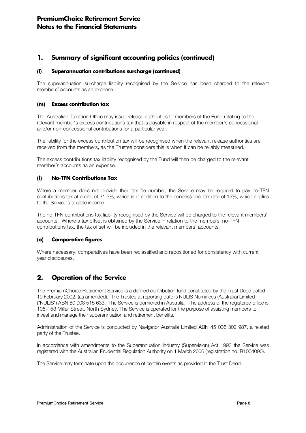### (l) Superannuation contributions surcharge (continued)

The superannuation surcharge liability recognised by the Service has been charged to the relevant members' accounts as an expense.

### (m) Excess contribution tax

The Australian Taxation Office may issue release authorities to members of the Fund relating to the relevant member's excess contributions tax that is payable in respect of the member's concessional and/or non-concessional contributions for a particular year.

The liability for the excess contribution tax will be recognised when the relevant release authorities are received from the members, as the Trustee considers this is when it can be reliably measured.

The excess contributions tax liability recognised by the Fund will then be charged to the relevant member's accounts as an expense.

### (l) No-TFN Contributions Tax

Where a member does not provide their tax file number, the Service may be required to pay no-TFN contributions tax at a rate of 31.5%, which is in addition to the concessional tax rate of 15%, which applies to the Service's taxable income.

The no-TFN contributions tax liability recognised by the Service will be charged to the relevant members' accounts. Where a tax offset is obtained by the Service in relation to the members' no-TFN contributions tax, the tax offset will be included in the relevant members' accounts.

### (o) Comparative figures

Where necessary, comparatives have been reclassified and repositioned for consistency with current year disclosures.

# 2. Operation of the Service

The PremiumChoice Retirement Service is a defined contribution fund constituted by the Trust Deed dated 19 February 2002, (as amended). The Trustee at reporting date is NULIS Nominees (Australia) Limited ("NULIS") ABN 80 008 515 633. The Service is domiciled in Australia. The address of the registered office is 105-153 Miller Street, North Sydney. The Service is operated for the purpose of assisting members to invest and manage their superannuation and retirement benefits.

Administration of the Service is conducted by Navigator Australia Limited ABN 45 006 302 987, a related party of the Trustee.

In accordance with amendments to the Superannuation Industry (Supervision) Act 1993 the Service was registered with the Australian Prudential Regulation Authority on 1 March 2006 (registration no. R1004090).

The Service may terminate upon the occurrence of certain events as provided in the Trust Deed.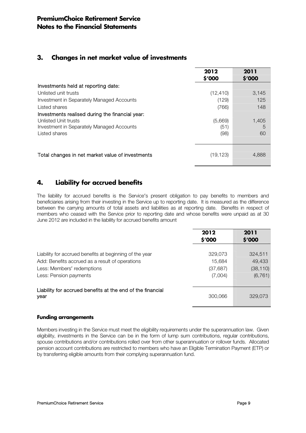# 3. Changes in net market value of investments

|                                                  | 2012<br>\$'000 | 2011<br>\$'000 |
|--------------------------------------------------|----------------|----------------|
| Investments held at reporting date:              |                |                |
| Unlisted unit trusts                             | (12, 410)      | 3,145          |
| Investment in Separately Managed Accounts        | (129)          | 125            |
| Listed shares                                    | (766)          | 148            |
| Investments realised during the financial year:  |                |                |
| Unlisted Unit trusts                             | (5,669)        | 1,405          |
| Investment in Separately Managed Accounts        | (51)           | 5              |
| Listed shares                                    | (98)           | 60             |
|                                                  |                |                |
|                                                  |                |                |
| Total changes in net market value of investments | (19,123)       | 4.888          |

# 4. Liability for accrued benefits

The liability for accrued benefits is the Service's present obligation to pay benefits to members and beneficiaries arising from their investing in the Service up to reporting date. It is measured as the difference between the carrying amounts of total assets and liabilities as at reporting date. Benefits in respect of members who ceased with the Service prior to reporting date and whose benefits were unpaid as at 30 June 2012 are included in the liability for accrued benefits amount

|                                                                                                                                                                    | 2012<br>\$'000                            | 2011<br>\$'000                             |
|--------------------------------------------------------------------------------------------------------------------------------------------------------------------|-------------------------------------------|--------------------------------------------|
| Liability for accrued benefits at beginning of the year<br>Add: Benefits accrued as a result of operations<br>Less: Members' redemptions<br>Less: Pension payments | 329,073<br>15,684<br>(37, 687)<br>(7,004) | 324,511<br>49,433<br>(38, 110)<br>(6, 761) |
| Liability for accrued benefits at the end of the financial<br>year                                                                                                 | 300,066                                   | 329,073                                    |

### Funding arrangements

Members investing in the Service must meet the eligibility requirements under the superannuation law. Given eligibility, investments in the Service can be in the form of lump sum contributions, regular contributions, spouse contributions and/or contributions rolled over from other superannuation or rollover funds. Allocated pension account contributions are restricted to members who have an Eligible Termination Payment (ETP) or by transferring eligible amounts from their complying superannuation fund.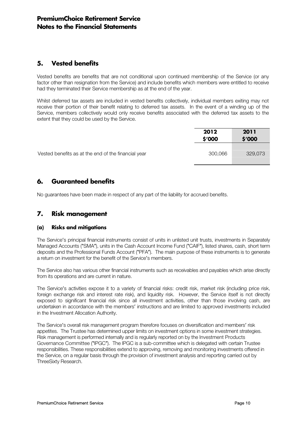# 5. Vested benefits

Vested benefits are benefits that are not conditional upon continued membership of the Service (or any factor other than resignation from the Service) and include benefits which members were entitled to receive had they terminated their Service membership as at the end of the year.

Whilst deferred tax assets are included in vested benefits collectively, individual members exiting may not receive their portion of their benefit relating to deferred tax assets. In the event of a winding up of the Service, members collectively would only receive benefits associated with the deferred tax assets to the extent that they could be used by the Service.

|                                                     | 2012    | 2011    |
|-----------------------------------------------------|---------|---------|
|                                                     | \$'000  | \$′000  |
|                                                     |         |         |
| Vested benefits as at the end of the financial year | 300,066 | 329,073 |
|                                                     |         |         |

# 6. Guaranteed benefits

No guarantees have been made in respect of any part of the liability for accrued benefits.

# 7. Risk management

### (a) Risks and mitigations

The Service's principal financial instruments consist of units in unlisted unit trusts, investments in Separately Managed Accounts ("SMA"), units in the Cash Account Income Fund ("CAIF"), listed shares, cash, short term deposits and the Professional Funds Account ("PFA"). The main purpose of these instruments is to generate a return on investment for the benefit of the Service's members.

The Service also has various other financial instruments such as receivables and payables which arise directly from its operations and are current in nature.

The Service's activities expose it to a variety of financial risks: credit risk, market risk (including price risk, foreign exchange risk and interest rate risk), and liquidity risk. However, the Service itself is not directly exposed to significant financial risk since all investment activities, other than those involving cash, are undertaken in accordance with the members' instructions and are limited to approved investments included in the Investment Allocation Authority.

The Service's overall risk management program therefore focuses on diversification and members' risk appetites. The Trustee has determined upper limits on investment options in some investment strategies. Risk management is performed internally and is regularly reported on by the Investment Products Governance Committee ("IPGC"). The IPGC is a sub-committee which is delegated with certain Trustee responsibilities. These responsibilities extend to approving, removing and monitoring investments offered in the Service, on a regular basis through the provision of investment analysis and reporting carried out by ThreeSixty Research.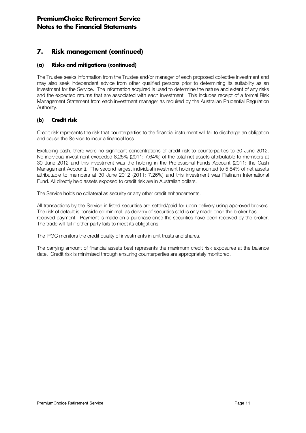# 7. Risk management (continued)

### (a) Risks and mitigations (continued)

The Trustee seeks information from the Trustee and/or manager of each proposed collective investment and may also seek independent advice from other qualified persons prior to determining its suitability as an investment for the Service. The information acquired is used to determine the nature and extent of any risks and the expected returns that are associated with each investment. This includes receipt of a formal Risk Management Statement from each investment manager as required by the Australian Prudential Regulation Authority.

### (b) Credit risk

Credit risk represents the risk that counterparties to the financial instrument will fail to discharge an obligation and cause the Service to incur a financial loss.

Excluding cash, there were no significant concentrations of credit risk to counterparties to 30 June 2012. No individual investment exceeded 8.25% (2011: 7.64%) of the total net assets attributable to members at 30 June 2012 and this investment was the holding in the Professional Funds Account (2011: the Cash Management Account). The second largest individual investment holding amounted to 5.84% of net assets attributable to members at 30 June 2012 (2011: 7.26%) and this investment was Platinum International Fund. All directly held assets exposed to credit risk are in Australian dollars.

The Service holds no collateral as security or any other credit enhancements.

All transactions by the Service in listed securities are settled/paid for upon delivery using approved brokers. The risk of default is considered minimal, as delivery of securities sold is only made once the broker has received payment. Payment is made on a purchase once the securities have been received by the broker. The trade will fail if either party fails to meet its obligations.

The IPGC monitors the credit quality of investments in unit trusts and shares.

The carrying amount of financial assets best represents the maximum credit risk exposures at the balance date. Credit risk is minimised through ensuring counterparties are appropriately monitored.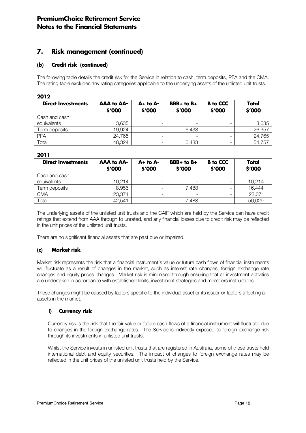# 7. Risk management (continued)

### (b) Credit risk (continued)

The following table details the credit risk for the Service in relation to cash, term deposits, PFA and the CMA. The rating table excludes any rating categories applicable to the underlying assets of the unlisted unit trusts.

#### 2012

| <b>Direct Investments</b> | <b>AAA to AA-</b><br>\$'000 | $A+$ to $A-$<br>\$'000 | $BBB+$ to $B+$<br>\$'000 | <b>B</b> to CCC<br>\$'000 | Total<br>\$'000 |
|---------------------------|-----------------------------|------------------------|--------------------------|---------------------------|-----------------|
| Cash and cash             |                             |                        |                          |                           |                 |
| equivalents               | 3,635                       | -                      |                          |                           | 3,635           |
| Term deposits             | 19,924                      | -                      | 6,433                    |                           | 26,357          |
| <b>PFA</b>                | 24,765                      | -                      |                          |                           | 24,765          |
| Total                     | 48,324                      | -                      | 6,433                    |                           | 54,757          |

### 2011

| <b>Direct Investments</b> | <b>AAA to AA-</b><br>\$'000 | $A+$ to $A-$<br>\$'000   | $BBB+$ to $B+$<br>\$'000 | <b>B</b> to CCC<br>\$'000 | Total<br>\$'000 |
|---------------------------|-----------------------------|--------------------------|--------------------------|---------------------------|-----------------|
| Cash and cash             |                             |                          |                          |                           |                 |
| equivalents               | 10,214                      | -                        |                          |                           | 10,214          |
| Term deposits             | 8,956                       | -                        | 7,488                    |                           | 16,444          |
| <b>CMA</b>                | 23,371                      | $\overline{\phantom{0}}$ | -                        |                           | 23,371          |
| Total                     | 42,541                      | $\overline{\phantom{0}}$ | 7,488                    |                           | 50,029          |

The underlying assets of the unlisted unit trusts and the CAIF which are held by the Service can have credit ratings that extend from AAA through to unrated, and any financial losses due to credit risk may be reflected in the unit prices of the unlisted unit trusts.

There are no significant financial assets that are past due or impaired.

### (c) Market risk

Market risk represents the risk that a financial instrument's value or future cash flows of financial instruments will fluctuate as a result of changes in the market, such as interest rate changes, foreign exchange rate changes and equity prices changes. Market risk is minimised through ensuring that all investment activities are undertaken in accordance with established limits, investment strategies and members instructions.

These changes might be caused by factors specific to the individual asset or its issuer or factors affecting all assets in the market.

### i) Currency risk

Currency risk is the risk that the fair value or future cash flows of a financial instrument will fluctuate due to changes in the foreign exchange rates. The Service is indirectly exposed to foreign exchange risk through its investments in unlisted unit trusts.

Whilst the Service invests in unlisted unit trusts that are registered in Australia, some of these trusts hold international debt and equity securities. The impact of changes to foreign exchange rates may be reflected in the unit prices of the unlisted unit trusts held by the Service.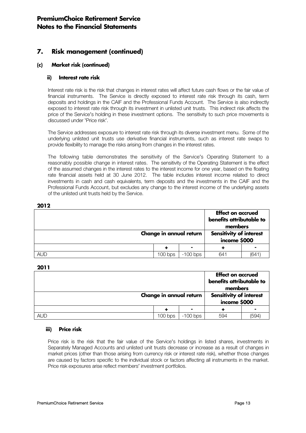# 7. Risk management (continued)

### (c) Market risk (continued)

### ii) Interest rate risk

Interest rate risk is the risk that changes in interest rates will affect future cash flows or the fair value of financial instruments. The Service is directly exposed to interest rate risk through its cash, term deposits and holdings in the CAIF and the Professional Funds Account. The Service is also indirectly exposed to interest rate risk through its investment in unlisted unit trusts. This indirect risk affects the price of the Service's holding in these investment options. The sensitivity to such price movements is discussed under 'Price risk'.

The Service addresses exposure to interest rate risk through its diverse investment menu. Some of the underlying unlisted unit trusts use derivative financial instruments, such as interest rate swaps to provide flexibility to manage the risks arising from changes in the interest rates.

The following table demonstrates the sensitivity of the Service's Operating Statement to a reasonably possible change in interest rates. The sensitivity of the Operating Statement is the effect of the assumed changes in the interest rates to the interest income for one year, based on the floating rate financial assets held at 30 June 2012. The table includes interest income related to direct investments in cash and cash equivalents, term deposits and the investments in the CAIF and the Professional Funds Account, but excludes any change to the interest income of the underlying assets of the unlisted unit trusts held by the Service.

#### 2012

|            | Change in annual return |            | <b>Effect on accrued</b><br>benefits attributable to<br>members<br><b>Sensitivity of interest</b><br>income \$000 |      |
|------------|-------------------------|------------|-------------------------------------------------------------------------------------------------------------------|------|
|            |                         |            |                                                                                                                   |      |
|            |                         |            |                                                                                                                   |      |
| <b>AUD</b> | 100 bps                 | $-100$ bps | 641                                                                                                               | (641 |

### 2011

|            |                         |            | <b>Effect on accrued</b><br>benefits attributable to<br>members |      |
|------------|-------------------------|------------|-----------------------------------------------------------------|------|
|            | Change in annual return |            | <b>Sensitivity of interest</b><br>income \$000                  |      |
|            |                         | -          |                                                                 |      |
| <b>AUD</b> | 100 bps                 | $-100$ bps | 594                                                             | (594 |

### iii) Price risk

Price risk is the risk that the fair value of the Service's holdings in listed shares, investments in Separately Managed Accounts and unlisted unit trusts decrease or increase as a result of changes in market prices (other than those arising from currency risk or interest rate risk), whether those changes are caused by factors specific to the individual stock or factors affecting all instruments in the market. Price risk exposures arise reflect members' investment portfolios.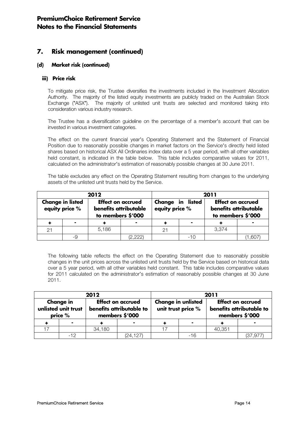# 7. Risk management (continued)

### (d) Market risk (continued)

#### iii) Price risk

To mitigate price risk, the Trustee diversifies the investments included in the Investment Allocation Authority. The majority of the listed equity investments are publicly traded on the Australian Stock Exchange ("ASX"). The majority of unlisted unit trusts are selected and monitored taking into consideration various industry research.

The Trustee has a diversification guideline on the percentage of a member's account that can be invested in various investment categories.

The effect on the current financial year's Operating Statement and the Statement of Financial Position due to reasonably possible changes in market factors on the Service's directly held listed shares based on historical ASX All Ordinaries index data over a 5 year period, with all other variables held constant, is indicated in the table below. This table includes comparative values for 2011, calculated on the administrator's estimation of reasonably possible changes at 30 June 2011.

The table excludes any effect on the Operating Statement resulting from changes to the underlying assets of the unlisted unit trusts held by the Service.

| 2012                                      |    |                                                                        |          | 2011                               |     |                                                                        |       |
|-------------------------------------------|----|------------------------------------------------------------------------|----------|------------------------------------|-----|------------------------------------------------------------------------|-------|
| <b>Change in listed</b><br>equity price % |    | <b>Effect on accrued</b><br>benefits attributable<br>to members \$'000 |          | Change in listed<br>equity price % |     | <b>Effect on accrued</b><br>benefits attributable<br>to members \$'000 |       |
|                                           |    |                                                                        |          |                                    |     |                                                                        |       |
|                                           |    | 5,186                                                                  |          |                                    |     | 3,374                                                                  |       |
|                                           | -9 |                                                                        | (2, 222) |                                    | -10 |                                                                        | 1,607 |

The following table reflects the effect on the Operating Statement due to reasonably possible changes in the unit prices across the unlisted unit trusts held by the Service based on historical data over a 5 year period, with all other variables held constant. This table includes comparative values for 2011 calculated on the administrator's estimation of reasonably possible changes at 30 June 2011.

| 2012                                                                                                                         |     |        |                                                 | 2011 |                                                                        |        |         |
|------------------------------------------------------------------------------------------------------------------------------|-----|--------|-------------------------------------------------|------|------------------------------------------------------------------------|--------|---------|
| <b>Change in</b><br><b>Effect on accrued</b><br>unlisted unit trust<br>benefits attributable to<br>members \$'000<br>price % |     |        | <b>Change in unlisted</b><br>unit trust price % |      | <b>Effect on accrued</b><br>benefits attributable to<br>members \$'000 |        |         |
|                                                                                                                              |     |        | -                                               |      |                                                                        |        |         |
|                                                                                                                              |     | 34,180 |                                                 |      |                                                                        | 40,351 |         |
|                                                                                                                              | -12 |        | (24, 127)                                       |      | -16                                                                    |        | (37.97) |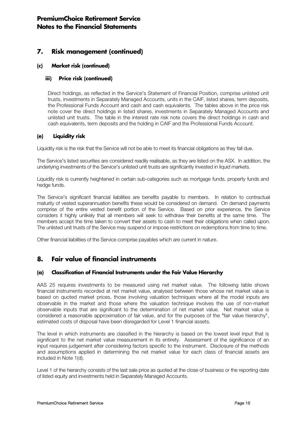# 7. Risk management (continued)

### (c) Market risk (continued)

### iii) Price risk (continued)

Direct holdings, as reflected in the Service's Statement of Financial Position, comprise unlisted unit trusts, investments in Separately Managed Accounts, units in the CAIF, listed shares, term deposits, the Professional Funds Account and cash and cash equivalents. The tables above in the price risk note cover the direct holdings in listed shares, investments in Separately Managed Accounts and unlisted unit trusts. The table in the interest rate risk note covers the direct holdings in cash and cash equivalents, term deposits and the holding in CAIF and the Professional Funds Account.

### (e) Liquidity risk

Liquidity risk is the risk that the Service will not be able to meet its financial obligations as they fall due.

The Service's listed securities are considered readily realisable, as they are listed on the ASX. In addition, the underlying investments of the Service's unlisted unit trusts are significantly invested in liquid markets.

Liquidity risk is currently heightened in certain sub-categories such as mortgage funds, property funds and hedge funds.

The Service's significant financial liabilities are benefits payable to members. In relation to contractual maturity of vested superannuation benefits these would be considered on demand. On demand payments comprise of the entire vested benefit portion of the Service. Based on prior experience, the Service considers it highly unlikely that all members will seek to withdraw their benefits at the same time. The members accept the time taken to convert their assets to cash to meet their obligations when called upon. The unlisted unit trusts of the Service may suspend or impose restrictions on redemptions from time to time.

Other financial liabilities of the Service comprise payables which are current in nature.

# 8. Fair value of financial instruments

### (a) Classification of Financial Instruments under the Fair Value Hierarchy

AAS 25 requires investments to be measured using net market value. The following table shows financial instruments recorded at net market value, analysed between those whose net market value is based on quoted market prices, those involving valuation techniques where all the model inputs are observable in the market and those where the valuation technique involves the use of non-market observable inputs that are significant to the determination of net market value. Net market value is considered a reasonable approximation of fair value, and for the purposes of the "fair value hierarchy", estimated costs of disposal have been disregarded for Level 1 financial assets.

The level in which instruments are classified in the hierarchy is based on the lowest level input that is significant to the net market value measurement in its entirety. Assessment of the significance of an input requires judgement after considering factors specific to the instrument. Disclosure of the methods and assumptions applied in determining the net market value for each class of financial assets are included in Note 1(d).

Level 1 of the hierarchy consists of the last sale price as quoted at the close of business or the reporting date of listed equity and investments held in Separately Managed Accounts.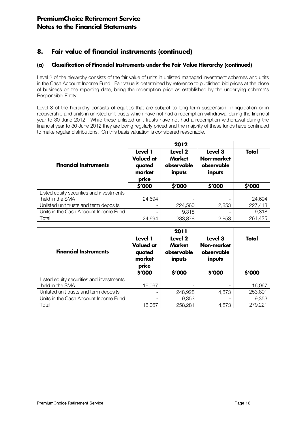# 8. Fair value of financial instruments (continued)

### (a) Classification of Financial Instruments under the Fair Value Hierarchy (continued)

Level 2 of the hierarchy consists of the fair value of units in unlisted managed investment schemes and units in the Cash Account Income Fund. Fair value is determined by reference to published bid prices at the close of business on the reporting date, being the redemption price as established by the underlying scheme's Responsible Entity.

Level 3 of the hierarchy consists of equities that are subject to long term suspension, in liquidation or in receivership and units in unlisted unit trusts which have not had a redemption withdrawal during the financial year to 30 June 2012. While these unlisted unit trusts have not had a redemption withdrawal during the financial year to 30 June 2012 they are being regularly priced and the majority of these funds have continued to make regular distributions. On this basis valuation is considered reasonable.

| <b>Financial Instruments</b>             | Level 1<br>Level 2<br><b>Valued at</b><br><b>Market</b><br>observable<br>quoted<br>market<br>inputs<br>price |                          | Level 3<br><b>Non-market</b><br>observable<br>inputs | <b>Total</b> |
|------------------------------------------|--------------------------------------------------------------------------------------------------------------|--------------------------|------------------------------------------------------|--------------|
|                                          | \$'000                                                                                                       | \$'000                   | \$'000                                               | \$'000       |
| Listed equity securities and investments |                                                                                                              |                          |                                                      |              |
| held in the SMA                          | 24,694                                                                                                       | $\overline{\phantom{a}}$ |                                                      | 24,694       |
| Unlisted unit trusts and term deposits   | $\overline{\phantom{a}}$                                                                                     | 224,560                  | 2,853                                                | 227,413      |
| Units in the Cash Account Income Fund    | $\overline{\phantom{a}}$                                                                                     | 9,318                    |                                                      | 9,318        |
| Total                                    | 24,694                                                                                                       | 233,878                  | 2,853                                                | 261,425      |

| <b>Financial Instruments</b>             | Level 1<br><b>Valued at</b><br>quoted<br>market<br>price | Level 2<br><b>Market</b><br>Non-market<br>observable<br>observable<br>inputs |        | Total   |
|------------------------------------------|----------------------------------------------------------|------------------------------------------------------------------------------|--------|---------|
|                                          | \$'000                                                   | \$'000                                                                       | \$'000 | \$'000  |
| Listed equity securities and investments |                                                          |                                                                              |        |         |
| held in the SMA                          | 16,067                                                   |                                                                              |        | 16,067  |
| Unlisted unit trusts and term deposits   | $\overline{\phantom{a}}$                                 | 248,928                                                                      | 4,873  | 253,801 |
| Units in the Cash Account Income Fund    | $\overline{\phantom{a}}$                                 | 9,353                                                                        |        | 9,353   |
| Total                                    | 16,067                                                   | 258,281                                                                      | 4,873  | 279,221 |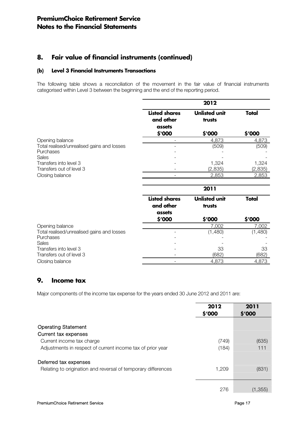# 8. Fair value of financial instruments (continued)

### (b) Level 3 Financial Instruments Transactions

The following table shows a reconciliation of the movement in the fair value of financial instruments categorised within Level 3 between the beginning and the end of the reporting period.

|                                                                         |                                             | 2012                           |                  |
|-------------------------------------------------------------------------|---------------------------------------------|--------------------------------|------------------|
|                                                                         | <b>Listed shares</b><br>and other<br>assets | <b>Unlisted unit</b><br>trusts | <b>Total</b>     |
|                                                                         | \$'000                                      | \$'000                         | \$'000           |
| Opening balance                                                         |                                             | 4,873                          | 4,873            |
| Total realised/unrealised gains and losses<br>Purchases                 |                                             | (509)                          | (509)            |
| <b>Sales</b>                                                            |                                             |                                |                  |
| Transfers into level 3<br>Transfers out of level 3                      |                                             | 1,324<br>(2,835)               | 1,324<br>(2,835) |
| Closing balance                                                         |                                             | 2,853                          | 2,853            |
|                                                                         |                                             | 2011                           |                  |
|                                                                         | <b>Listed shares</b><br>and other<br>assets | <b>Unlisted unit</b><br>trusts | <b>Total</b>     |
|                                                                         | \$'000                                      | \$'000                         | \$'000           |
| Opening balance                                                         |                                             | 7,002                          | 7,002            |
| Total realised/unrealised gains and losses<br>Purchases<br><b>Sales</b> |                                             | (1,480)                        | (1,480)          |

# Transfers into level 3 33 33 33 Transfers out of level 3 (682) (682) Closing balance 4,873 4,873

# 9. Income tax

Major components of the income tax expense for the years ended 30 June 2012 and 2011 are:

|                                                               | 2012<br>\$'000 | 2011<br>\$′000 |
|---------------------------------------------------------------|----------------|----------------|
| <b>Operating Statement</b>                                    |                |                |
| Current tax expenses                                          |                |                |
| Current income tax charge                                     | (749)          | (635)          |
| Adjustments in respect of current income tax of prior year    | (184)          | 111            |
| Deferred tax expenses                                         |                |                |
| Relating to origination and reversal of temporary differences | 1,209          | (831)          |
|                                                               |                |                |
|                                                               | 276            | (1,355)        |
|                                                               |                |                |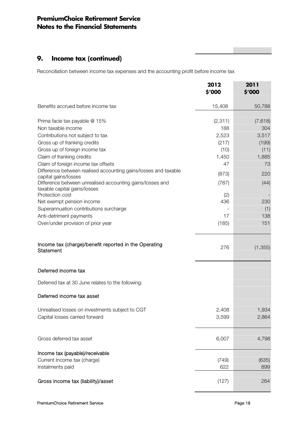# 9. Income tax (continued)

Reconciliation between income tax expenses and the accounting profit before income tax

|                                                                                           | 2012<br>\$'000 | 2011<br>\$'000 |
|-------------------------------------------------------------------------------------------|----------------|----------------|
| Benefits accrued before income tax                                                        | 15,408         | 50,788         |
| Prima facie tax payable @ 15%                                                             | (2, 311)       | (7,618)        |
| Non taxable income                                                                        | 188            | 304            |
| Contributions not subject to tax                                                          | 2,523          | 3,517          |
| Gross up of franking credits                                                              | (217)          | (199)          |
| Gross up of foreign income tax                                                            | (10)           | (11)           |
| Claim of franking credits                                                                 | 1,450          | 1,885          |
| Claim of foreign income tax offsets                                                       | 47             | 73             |
| Difference between realised accounting gains/losses and taxable<br>capital gains/losses   | (873)          | 220            |
| Difference between unrealised accounting gains/losses and<br>taxable capital gains/losses | (787)          | (44)           |
| Protection cost                                                                           | (2)            |                |
| Net exempt pension income                                                                 | 436            | 230            |
| Superannuation contributions surcharge                                                    |                | (1)            |
| Anti-detriment payments                                                                   | 17             | 138            |
| Over/under provision of prior year                                                        | (185)          | 151            |
| Income tax (charge)/benefit reported in the Operating<br>Statement                        | 276            | (1, 355)       |
| Deferred income tax                                                                       |                |                |
| Deferred tax at 30 June relates to the following:                                         |                |                |
| Deferred income tax asset                                                                 |                |                |
| Unrealised losses on investments subject to CGT                                           | 2,408          | 1,934          |
| Capital losses carried forward                                                            | 3,599          | 2,864          |
| Gross deferred tax asset                                                                  | 6,007          | 4,798          |
| Income tax (payable)/receivable                                                           |                |                |
| Current Income tax (charge)<br>Instalments paid                                           | (749)<br>622   | (635)<br>899   |
| Gross income tax (liability)/asset                                                        | (127)          | 264            |

**The Common**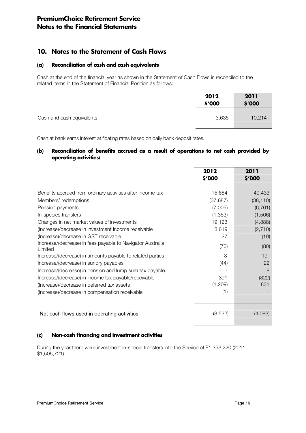# 10. Notes to the Statement of Cash Flows

### (a) Reconciliation of cash and cash equivalents

Cash at the end of the financial year as shown in the Statement of Cash Flows is reconciled to the related items in the Statement of Financial Position as follows:

|                           | 2012<br>\$'000 | 2011<br>\$′000 |
|---------------------------|----------------|----------------|
| Cash and cash equivalents | 3,635          | 10,214         |

Cash at bank earns interest at floating rates based on daily bank deposit rates.

### (b) Reconciliation of benefits accrued as a result of operations to net cash provided by operating activities:

|                                                                       | 2012      | 2011      |
|-----------------------------------------------------------------------|-----------|-----------|
|                                                                       | \$'000    | \$'000    |
|                                                                       |           |           |
| Benefits accrued from ordinary activities after income tax            | 15,684    | 49,433    |
| Members' redemptions                                                  | (37, 687) | (38, 110) |
| Pension payments                                                      | (7,005)   | (6, 761)  |
| In-species transfers                                                  | (1,353)   | (1,506)   |
| Changes in net market values of investments                           | 19,123    | (4,888)   |
| (Increase)/decrease in investment income receivable                   | 3,619     | (2,710)   |
| (Increase)/decrease in GST receivable                                 | 27        | (19)      |
| Increase/(decrease) in fees payable to Navigator Australia<br>Limited | (70)      | (80)      |
| Increase/(decrease) in amounts payable to related parties             | 3         | 19        |
| Increase/(decrease) in sundry payables                                | (44)      | 22        |
| Increase/(decrease) in pension and lump sum tax payable               |           | 8         |
| Increase/(decrease) in income tax payable/receivable                  | 391       | (322)     |
| (Increase)/decrease in deferred tax assets                            | (1,209)   | 831       |
| (Increase)/decrease in compensation receivable                        | (1)       |           |
|                                                                       |           |           |
|                                                                       |           |           |
| Net cash flows used in operating activities                           | (8, 522)  | (4,083)   |

### (c) Non-cash financing and investment activities

During the year there were investment in-specie transfers into the Service of \$1,353,220 (2011: \$1,505,721).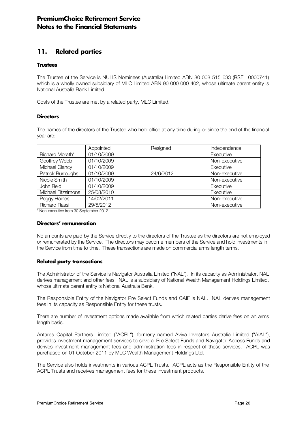# 11. Related parties

### **Trustees**

The Trustee of the Service is NULIS Nominees (Australia) Limited ABN 80 008 515 633 (RSE L0000741) which is a wholly owned subsidiary of MLC Limited ABN 90 000 000 402, whose ultimate parent entity is National Australia Bank Limited.

Costs of the Trustee are met by a related party, MLC Limited.

### **Directors**

The names of the directors of the Trustee who held office at any time during or since the end of the financial year are:

|                      | Appointed  | Resigned  | Independence  |
|----------------------|------------|-----------|---------------|
| Richard Morath*      | 01/10/2009 |           | Executive     |
| Geoffrey Webb        | 01/10/2009 |           | Non-executive |
| Michael Clancy       | 01/10/2009 |           | Executive     |
| Patrick Burroughs    | 01/10/2009 | 24/6/2012 | Non-executive |
| Nicole Smith         | 01/10/2009 |           | Non-executive |
| John Reid            | 01/10/2009 |           | Executive     |
| Michael Fitzsimons   | 25/08/2010 |           | Executive     |
| Peggy Haines         | 14/02/2011 |           | Non-executive |
| <b>Richard Rassi</b> | 29/5/2012  |           | Non-executive |

\* Non-executive from 30 September 2012

#### Directors' remuneration

No amounts are paid by the Service directly to the directors of the Trustee as the directors are not employed or remunerated by the Service. The directors may become members of the Service and hold investments in the Service from time to time. These transactions are made on commercial arms length terms.

### Related party transactions

The Administrator of the Service is Navigator Australia Limited ("NAL"). In its capacity as Administrator, NAL derives management and other fees. NAL is a subsidiary of National Wealth Management Holdings Limited, whose ultimate parent entity is National Australia Bank.

The Responsible Entity of the Navigator Pre Select Funds and CAIF is NAL. NAL derives management fees in its capacity as Responsible Entity for these trusts.

There are number of investment options made available from which related parties derive fees on an arms length basis.

Antares Capital Partners Limited ("ACPL"), formerly named Aviva Investors Australia Limited ("AIAL"), provides investment management services to several Pre Select Funds and Navigator Access Funds and derives investment management fees and administration fees in respect of these services. ACPL was purchased on 01 October 2011 by MLC Wealth Management Holdings Ltd.

The Service also holds investments in various ACPL Trusts. ACPL acts as the Responsible Entity of the ACPL Trusts and receives management fees for these investment products.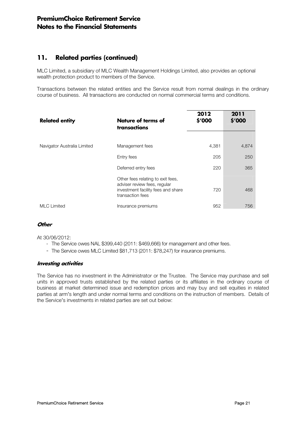# 11. Related parties (continued)

MLC Limited, a subsidiary of MLC Wealth Management Holdings Limited, also provides an optional wealth protection product to members of the Service.

Transactions between the related entities and the Service result from normal dealings in the ordinary course of business. All transactions are conducted on normal commercial terms and conditions.

| <b>Related entity</b>       | Nature of terms of<br>transactions                                                                                          | 2012<br>\$'000 | 2011<br>\$'000 |
|-----------------------------|-----------------------------------------------------------------------------------------------------------------------------|----------------|----------------|
|                             |                                                                                                                             |                |                |
| Navigator Australia Limited | Management fees                                                                                                             | 4,381          | 4,874          |
|                             | Entry fees                                                                                                                  | 205            | 250            |
|                             | Deferred entry fees                                                                                                         | 220            | 365            |
|                             | Other fees relating to exit fees,<br>adviser review fees, regular<br>investment facility fees and share<br>transaction fees | 720            | 468            |
| <b>MLC Limited</b>          | Insurance premiums                                                                                                          | 952            | 756            |

### **Other**

At 30/06/2012:

- The Service owes NAL \$399,440 (2011: \$469,666) for management and other fees.
- The Service owes MLC Limited \$81,713 (2011: \$78,247) for insurance premiums.

### Investing activities

The Service has no investment in the Administrator or the Trustee. The Service may purchase and sell units in approved trusts established by the related parties or its affiliates in the ordinary course of business at market determined issue and redemption prices and may buy and sell equities in related parties at arm's length and under normal terms and conditions on the instruction of members. Details of the Service's investments in related parties are set out below: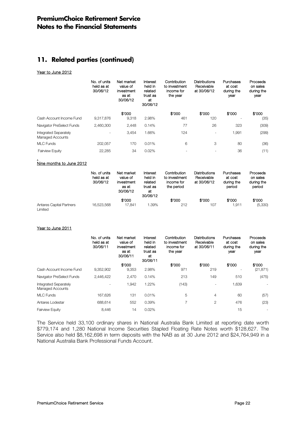# 11. Related parties (continued)

#### Year to June 2012

|                                                  | No. of units<br>held as at<br>30/06/12 | Net market<br>value of<br>investment<br>as at<br>30/06/12 | Interest<br>held in<br>related<br>trust as<br>at<br>30/06/12 | Contribution<br>to investment<br>income for<br>the year | <b>Distributions</b><br>Receivable<br>at 30/06/12 | Purchases<br>at cost<br>during the<br>year | Proceeds<br>on sales<br>during the<br>year |
|--------------------------------------------------|----------------------------------------|-----------------------------------------------------------|--------------------------------------------------------------|---------------------------------------------------------|---------------------------------------------------|--------------------------------------------|--------------------------------------------|
|                                                  |                                        | \$'000                                                    |                                                              | \$'000                                                  | \$'000                                            | \$'000                                     | \$′000                                     |
| Cash Account Income Fund                         | 9.317.876                              | 9.318                                                     | 2.98%                                                        | 461                                                     | 120                                               |                                            | (35)                                       |
| Navigator PreSelect Funds                        | 2.460.300                              | 2.448                                                     | 0.14%                                                        | 77                                                      | 26                                                | 323                                        | (309)                                      |
| <b>Integrated Separately</b><br>Managed Accounts |                                        | 3.454                                                     | 1.66%                                                        | 124                                                     |                                                   | 1.991                                      | (299)                                      |
| <b>MLC</b> Funds                                 | 202.057                                | 170                                                       | 0.01%                                                        | 6                                                       | 3                                                 | 80                                         | (36)                                       |
| <b>Fairview Equity</b>                           | 22,285                                 | 34                                                        | 0.02%                                                        |                                                         |                                                   | 36                                         | (11)                                       |

#### , Nine months to June 2012

|                                            | No. of units<br>held as at<br>30/06/12 | Net market<br>value of<br>investment<br>as at<br>30/06/12 | Interest<br>held in<br>related<br>trust as<br>at<br>30/06/12 | Contribution<br>to investment<br>income for<br>the period | <b>Distributions</b><br>Receivable<br>at 30/06/12 | Purchases<br>at cost<br>during the<br>period | Proceeds<br>on sales<br>during the<br>period |
|--------------------------------------------|----------------------------------------|-----------------------------------------------------------|--------------------------------------------------------------|-----------------------------------------------------------|---------------------------------------------------|----------------------------------------------|----------------------------------------------|
|                                            |                                        | \$'000                                                    |                                                              | \$'000                                                    | \$'000                                            | \$'000                                       | \$'000                                       |
| <b>Antares Capital Partners</b><br>Limited | 16.523.568                             | 17.841                                                    | .39%                                                         | 212                                                       | 107                                               | 1.911                                        | (5,330)                                      |

#### Year to June 2011

|                                                  | No. of units<br>held as at<br>30/06/11 | Net market<br>value of<br>investment<br>as at<br>30/06/11 | Interest<br>held in<br>related<br>trust as<br>at<br>30/06/11 | Contribution<br>to investment<br>income for<br>the year | <b>Distributions</b><br>Receivable<br>at 30/06/11 | Purchases<br>at cost<br>during the<br>year | Proceeds<br>on sales<br>during the<br>year |
|--------------------------------------------------|----------------------------------------|-----------------------------------------------------------|--------------------------------------------------------------|---------------------------------------------------------|---------------------------------------------------|--------------------------------------------|--------------------------------------------|
|                                                  |                                        | \$'000                                                    |                                                              | \$'000                                                  | \$'000                                            | \$'000                                     | \$'000                                     |
| Cash Account Income Fund                         | 9,352,902                              | 9,353                                                     | 2.98%                                                        | 971                                                     | 219                                               |                                            | (21, 871)                                  |
| Navigator PreSelect Funds                        | 2.446.422                              | 2,470                                                     | 0.14%                                                        | 213                                                     | 149                                               | 510                                        | (475)                                      |
| <b>Integrated Separately</b><br>Managed Accounts |                                        | 1,942                                                     | 1.22%                                                        | (143)                                                   | $\overline{\phantom{0}}$                          | 1,639                                      |                                            |
| MLC Funds                                        | 167.626                                | 131                                                       | 0.01%                                                        | 5                                                       | 4                                                 | 60                                         | (57)                                       |
| Antares Lodestar                                 | 688,614                                | 552                                                       | 0.39%                                                        | $\overline{7}$                                          | 2                                                 | 476                                        | (23)                                       |
| <b>Fairview Equity</b>                           | 8,446                                  | 14                                                        | 0.02%                                                        |                                                         |                                                   | 15                                         |                                            |

The Service held 33,100 ordinary shares in National Australia Bank Limited at reporting date worth \$779,174 and 1,280 National Income Securities Stapled Floating Rate Notes worth \$128,627. The Service also held \$8,162,698 in term deposits with the NAB as at 30 June 2012 and \$24,764,949 in a National Australia Bank Professional Funds Account.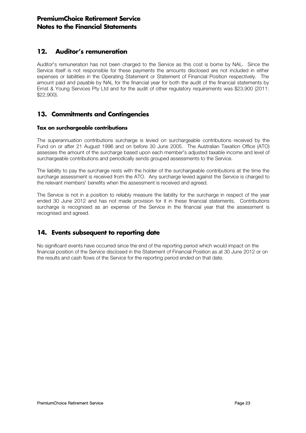# 12. Auditor's remuneration

Auditor's remuneration has not been charged to the Service as this cost is borne by NAL. Since the Service itself is not responsible for these payments the amounts disclosed are not included in either expenses or liabilities in the Operating Statement or Statement of Financial Position respectively. The amount paid and payable by NAL for the financial year for both the audit of the financial statements by Ernst & Young Services Pty Ltd and for the audit of other regulatory requirements was \$23,900 (2011: \$22,900).

# 13. Commitments and Contingencies

### Tax on surchargeable contributions

The superannuation contributions surcharge is levied on surchargeable contributions received by the Fund on or after 21 August 1996 and on before 30 June 2005. The Australian Taxation Office (ATO) assesses the amount of the surcharge based upon each member's adjusted taxable income and level of surchargeable contributions and periodically sends grouped assessments to the Service.

The liability to pay the surcharge rests with the holder of the surchargeable contributions at the time the surcharge assessment is received from the ATO. Any surcharge levied against the Service is charged to the relevant members' benefits when the assessment is received and agreed.

The Service is not in a position to reliably measure the liability for the surcharge in respect of the year ended 30 June 2012 and has not made provision for it in these financial statements. Contributions surcharge is recognised as an expense of the Service in the financial year that the assessment is recognised and agreed.

# 14. Events subsequent to reporting date

No significant events have occurred since the end of the reporting period which would impact on the financial position of the Service disclosed in the Statement of Financial Position as at 30 June 2012 or on the results and cash flows of the Service for the reporting period ended on that date.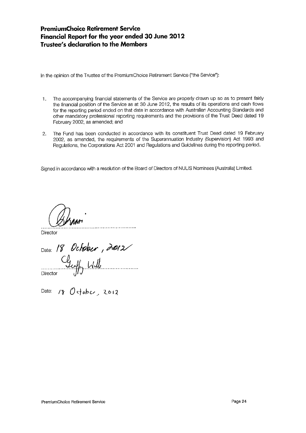# **PremiumChoice Retirement Service** Financial Report for the year ended 30 June 2012 **Trustee's declaration to the Members**

In the opinion of the Trustee of the PremiumChoice Retirement Service ("the Service"):

- The accompanying financial statements of the Service are properly drawn up so as to present fairly  $\mathbf{1}$ the financial position of the Service as at 30 June 2012, the results of its operations and cash flows for the reporting period ended on that date in accordance with Australian Accounting Standards and other mandatory professional reporting requirements and the provisions of the Trust Deed dated 19 February 2002, as amended; and
- The Fund has been conducted in accordance with its constituent Trust Deed dated 19 February  $2.$ 2002, as amended, the requirements of the Superannuation Industry (Supervision) Act 1993 and Regulations, the Corporations Act 2001 and Regulations and Guidelines during the reporting period.

Signed in accordance with a resolution of the Board of Directors of NULIS Nominees (Australia) Limited.

Director

Date: 18 October, 2012 Director

Date:  $180$  stober, 2012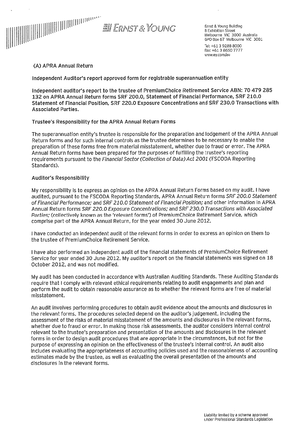

Ernst & Young Building 8 Exhibition Street Melbourne VIC 3000 Australia GPO Box 67 Melbourne VIC 3001 Tel: +61 3 9288 8000 Fax: +61 3 8650 7777 www.ey.com/au

#### (A) APRA Annual Return

Independent Auditor's report approved form for registrable superannuation entity

Independent auditor's report to the trustee of PremiumChoice Retirement Service ABN: 70 479 285 132 on APRA Annual Return forms SRF 200.0, Statement of Financial Performance, SRF 210.0 Statement of Financial Position, SRF 220.0 Exposure Concentrations and SRF 230.0 Transactions with **Associated Parties.** 

#### Trustee's Responsibility for the APRA Annual Return Forms

The superannuation entity's trustee is responsible for the preparation and lodgement of the APRA Annual Return forms and for such internal controls as the trustee determines to be necessary to enable the preparation of these forms free from material misstatement, whether due to fraud or error. The APRA Annual Return forms have been prepared for the purposes of fulfilling the trustee's reporting requirements pursuant to the Financial Sector (Collection of Data) Act 2001 (FSCODA Reporting Standards).

#### **Auditor's Responsibility**

My responsibility is to express an opinion on the APRA Annual Return Forms based on my audit. I have audited, pursuant to the FSCODA Reporting Standards, APRA Annual Return forms SRF 200.0 Statement of Financial Performance; and SRF 210.0 Statement of Financial Position; and other information in APRA Annual Return forms SRF 220.0 Exposure Concentrations; and SRF 230.0 Transactions with Associated Parties: (collectively known as the 'relevant forms') of PremiumChoice Retirement Service, which comprise part of the APRA Annual Return, for the year ended 30 June 2012.

I have conducted an independent audit of the relevant forms in order to express an opinion on them to the trustee of PremiumChoice Retirement Service.

I have also performed an independent audit of the financial statements of PremiumChoice Retirement Service for year ended 30 June 2012. My auditor's report on the financial statements was signed on 18 October 2012, and was not modified.

My audit has been conducted in accordance with Australian Auditing Standards. These Auditing Standards require that I comply with relevant ethical requirements relating to audit engagements and plan and perform the audit to obtain reasonable assurance as to whether the relevant forms are free of material misstatement.

An audit involves performing procedures to obtain audit evidence about the amounts and disclosures in the relevant forms. The procedures selected depend on the auditor's judgement, including the assessment of the risks of material misstatement of the amounts and disclosures in the relevant forms, whether due to fraud or error. In making those risk assessments, the auditor considers internal control relevant to the trustee's preparation and presentation of the amounts and disclosures in the relevant forms in order to design audit procedures that are appropriate in the circumstances, but not for the purpose of expressing an opinion on the effectiveness of the trustee's internal control. An audit also includes evaluating the appropriateness of accounting policies used and the reasonableness of accounting estimates made by the trustee, as well as evaluating the overall presentation of the amounts and disclosures in the relevant forms.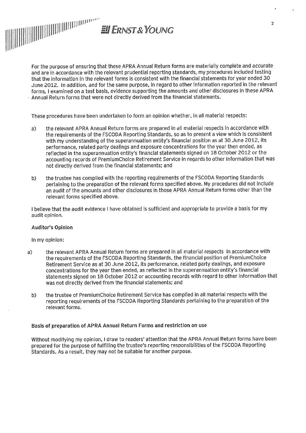

For the purpose of ensuring that these APRA Annual Return forms are materially complete and accurate and are in accordance with the relevant prudential reporting standards, my procedures included testing that the information in the relevant forms is consistent with the financial statements for year ended 30 June 2012. In addition, and for the same purpose, in regard to other information reported in the relevant forms. I examined on a test basis, evidence supporting the amounts and other disclosures in these APRA Annual Return forms that were not directly derived from the financial statements.

These procedures have been undertaken to form an opinion whether, in all material respects:

- the relevant APRA Annual Return forms are prepared in all material respects in accordance with  $a)$ the requirements of the FSCODA Reporting Standards, so as to present a view which is consistent with my understanding of the superannuation entity's financial position as at 30 June 2012, its performance, related party dealings and exposure concentrations for the year then ended, as reflected in the superannuation entity's financial statements signed on 18 October 2012 or the accounting records of PremiumChoice Retirement Service in regards to other information that was not directly derived from the financial statements; and
- the trustee has complied with the reporting requirements of the FSCODA Reporting Standards  $b)$ pertaining to the preparation of the relevant forms specified above. My procedures did not include an audit of the amounts and other disclosures in those APRA Annual Return forms other than the relevant forms specified above.

I believe that the audit evidence I have obtained is sufficient and appropriate to provide a basis for my audit opinion.

#### **Auditor's Opinion**

#### In my opinion:

- the relevant APRA Annual Return forms are prepared in all material respects in accordance with a) the requirements of the FSCODA Reporting Standards, the financial position of PremiumChoice Retirement Service as at 30 June 2012, its performance, related party dealings, and exposure concentrations for the year then ended, as reflected in the superannuation entity's financial statements signed on 18 October 2012 or accounting records with regard to other information that was not directly derived from the financial statements; and
	- the trustee of PremiumChoice Retirement Service has complied in all material respects with the b) reporting requirements of the FSCODA Reporting Standards pertaining to the preparation of the relevant forms.

#### Basis of preparation of APRA Annual Return Forms and restriction on use

Without modifying my opinion, I draw to readers' attention that the APRA Annual Return forms have been prepared for the purpose of fulfilling the trustee's reporting responsibilities of the FSCODA Reporting Standards. As a result, they may not be suitable for another purpose.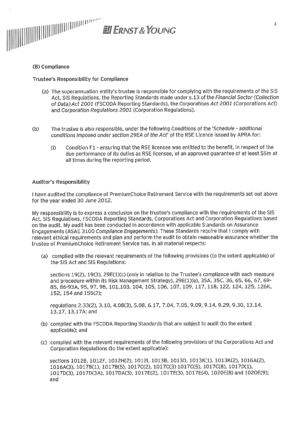

### (B) Compliance

**Trustee's Responsibility for Compliance** 

- (a) The superannuation entity's trustee is responsible for complying with the requirements of the SIS Act. SIS Regulations, the Reporting Standards made under s.13 of the Financial Sector (Collection of Data) Act 2001 (FSCODA Reporting Standards), the Corporations Act 2001 (Corporations Act) and Corporation Regulations 2001 (Corporation Regulations).
- The trustee is also responsible, under the following Conditions of the 'Schedule additional  $(b)$ conditions imposed under section 29EA of the Act' of the RSE Licence issued by APRA for:
	- Condition F1 ensuring that the RSE licensee was entitled to the benefit, in respect of the  $(i)$ due performance of its duties as RSE licensee, of an approved quarantee of at least \$5m at all times during the reporting period.

#### **Auditor's Responsibility**

I have audited the compliance of PremiumChoice Retirement Service with the requirements set out above for the year ended 30 June 2012.

My responsibility is to express a conclusion on the trustee's compliance with the requirements of the SIS Act, SIS Regulations, FSCODA Reporting Standards, Corporations Act and Corporation Regulations based on the audit. My audit has been conducted in accordance with applicable Standards on Assurance Engagements (ASAE 3100 Compliance Engagements). These Standards require that I comply with relevant ethical requirements and plan and perform the audit to obtain reasonable assurance whether the trustee of PremiumChoice Retirement Service has, in all material respects:

(a) complied with the relevant requirements of the following provisions (to the extent applicable) of the SIS Act and SIS Regulations:

sections 19(2), 19(3), 29E(1)(c) (only in relation to the Trustee's compliance with each measure and procedure within its Risk Management Strategy), 29E(1)(e), 35A, 35C, 36, 65, 66, 67, 69-85, 86-93A, 95, 97, 98, 101, 103, 104, 105, 106, 107, 109, 117, 118, 122, 124, 125, 126K, 152, 154 and 155(2);

regulations 2.33(2), 3.10, 4.08(3), 5.08, 6.17, 7.04, 7.05, 9.09, 9.14, 9.29, 9.30, 13.14, 13.17. 13.17A: and

- (b) complied with the FSCODA Reporting Standards that are subject to audit (to the extent applicable); and
- (c) complied with the relevant requirements of the following provisions of the Corporations Act and Corporation Regulations (to the extent applicable):

sections 1012B, 1012F, 1012H(2), 1012I, 1013B, 1013D, 1013K(1), 1013K(2), 1016A(2), 1016A(3), 1017B(1), 1017B(5), 1017C(2), 1017C(3) 1017C(5), 1017C(8), 1017D(1), 1017D(3), 1017D(3A), 1017DA(3), 1017E(2), 1017E(3), 1017E(4), 1020E(8) and 1020E(9); and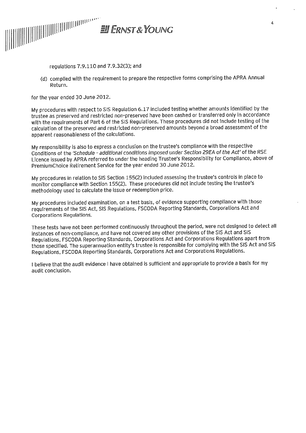

regulations 7.9.110 and 7.9.32(3); and

(d) complied with the requirement to prepare the respective forms comprising the APRA Annual Return.

for the year ended 30 June 2012.

My procedures with respect to SIS Regulation 6.17 included testing whether amounts identified by the trustee as preserved and restricted non-preserved have been cashed or transferred only in accordance with the requirements of Part 6 of the SIS Regulations. These procedures did not include testing of the calculation of the preserved and restricted non-preserved amounts beyond a broad assessment of the apparent reasonableness of the calculations.

My responsibility is also to express a conclusion on the trustee's compliance with the respective Conditions of the 'Schedule - additional conditions imposed under Section 29EA of the Act' of the RSE Licence issued by APRA referred to under the heading Trustee's Responsibility for Compliance, above of PremiumChoice Retirement Service for the year ended 30 June 2012.

My procedures in relation to SIS Section 155(2) included assessing the trustee's controls in place to monitor compliance with Section 155(2). These procedures did not include testing the trustee's methodology used to calculate the issue or redemption price.

My procedures included examination, on a test basis, of evidence supporting compliance with those requirements of the SIS Act, SIS Regulations, FSCODA Reporting Standards, Corporations Act and Corporations Regulations.

These tests have not been performed continuously throughout the period, were not designed to detect all instances of non-compliance, and have not covered any other provisions of the SIS Act and SIS Regulations, FSCODA Reporting Standards, Corporations Act and Corporations Regulations apart from those specified. The superannuation entity's trustee is responsible for complying with the SIS Act and SIS Regulations, FSCODA Reporting Standards, Corporations Act and Corporations Regulations.

I believe that the audit evidence I have obtained is sufficient and appropriate to provide a basis for my audit conclusion.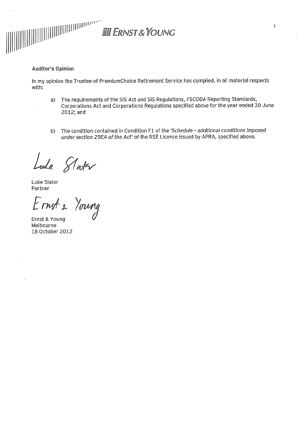

### **Auditor's Opinion**

In my opinion the Trustee of PremiumChoice Retirement Service has complied, in all material respects with:

- a) The requirements of the SIS Act and SIS Regulations, FSCODA Reporting Standards, Corporations Act and Corporations Regulations specified above for the year ended 30 June  $2012$ ; and
- The condition contained in Condition F1 of the 'Schedule additional conditions imposed  $b)$ under section 29EA of the Act' of the RSE Licence issued by APRA, specified above.

Lude Slater<br>Luke Slater<br>Partner<br>Ernst 2 Young

Ernst & Young Melbourne 18 October 2012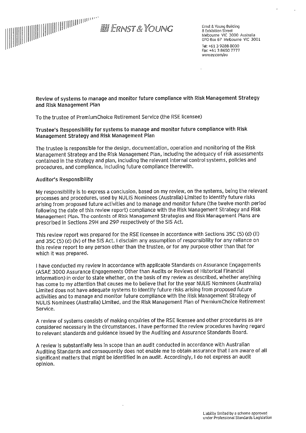

Ernst & Young Building 8 Exhibition Street Melbourne VIC 3000 Australia<br>GPO Box 67 Melbourne VIC 3001 Tel: +61 3 9288 8000 Fax: +61 3 8650 7777 www.ey.com/au

Review of systems to manage and monitor future compliance with Risk Management Strategy and Risk Management Plan

To the trustee of PremiumChoice Retirement Service (the RSE licensee)

### Trustee's Responsibility for systems to manage and monitor future compliance with Risk Management Strategy and Risk Management Plan

The trustee is responsible for the design, documentation, operation and monitoring of the Risk Management Strategy and the Risk Management Plan, including the adequacy of risk assessments contained in the strategy and plan, including the relevant internal control systems, policies and procedures, and compliance, including future compliance therewith.

#### **Auditor's Responsibility**

My responsibility is to express a conclusion, based on my review, on the systems, being the relevant processes and procedures, used by NULIS Nominees (Australia) Limited to identify future risks arising from proposed future activities and to manage and monitor future (the twelve month period following the date of this review report) compliance with the Risk Management Strategy and Risk Management Plan. The contents of Risk Management Strategies and Risk Management Plans are prescribed in Sections 29H and 29P respectively of the SIS Act.

This review report was prepared for the RSE licensee in accordance with Sections 35C (5) (d) (ii) and 35C (5) (d) (iv) of the SIS Act. I disclaim any assumption of responsibility for any reliance on this review report to any person other than the trustee, or for any purpose other than that for which it was prepared.

I have conducted my review in accordance with applicable Standards on Assurance Engagements (ASAE 3000 Assurance Engagements Other than Audits or Reviews of Historical Financial Information) in order to state whether, on the basis of my review as described, whether anything has come to my attention that causes me to believe that for the year NULIS Nominees (Australia) Limited does not have adequate systems to identify future risks arising from proposed future activities and to manage and monitor future compliance with the Risk Management Strategy of NULIS Nominees (Australia) Limited, and the Risk Management Plan of PremiumChoice Retirement Service.

A review of systems consists of making enquiries of the RSE licensee and other procedures as are considered necessary in the circumstances. I have performed the review procedures having regard to relevant standards and guidance issued by the Auditing and Assurance Standards Board.

A review is substantially less in scope than an audit conducted in accordance with Australian Auditing Standards and consequently does not enable me to obtain assurance that I am aware of all significant matters that might be identified in an audit. Accordingly, I do not express an audit opinion.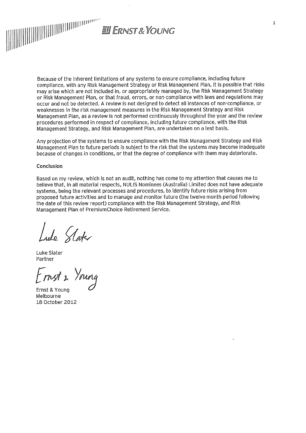

Because of the inherent limitations of any systems to ensure compliance, including future compliance, with any Risk Management Strategy or Risk Management Plan, it is possible that risks may arise which are not included in, or appropriately managed by, the Risk Management Strategy or Risk Management Plan, or that fraud, errors, or non-compliance with laws and regulations may occur and not be detected. A review is not designed to detect all instances of non-compliance, or weaknesses in the risk management measures in the Risk Management Strategy and Risk Management Plan, as a review is not performed continuously throughout the year and the review procedures performed in respect of compliance, including future compliance, with the Risk Management Strategy, and Risk Management Plan, are undertaken on a test basis.

Any projection of the systems to ensure compliance with the Risk Management Strategy and Risk Management Plan to future periods is subject to the risk that the systems may become inadequate because of changes in conditions, or that the degree of compliance with them may deteriorate.

#### Conclusion

Based on my review, which is not an audit, nothing has come to my attention that causes me to believe that, in all material respects, NULIS Nominees (Australia) Limited does not have adequate systems, being the relevant processes and procedures, to identify future risks arising from proposed future activities and to manage and monitor future (the twelve month period following the date of this review report) compliance with the Risk Management Strategy, and Risk Management Plan of PremiumChoice Retirement Service.

Lude Slater

 $Luke Slater$ <br>Partner<br> $Fmsf$  & Young

Ernst & Young Melbourne 18 October 2012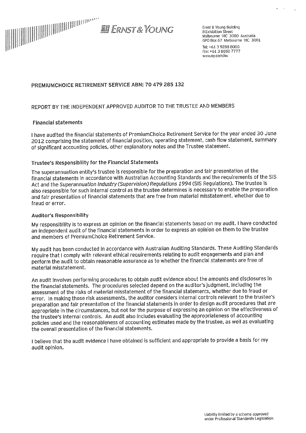

Ernst & Young Building 8 Exhibition Street Melbourne VIC 3000 Australia GPO Box 67 Melbourne VIC 3001

Tel: +61 3 9288 8000 Fax: +61.3 8650 7777 www.ey.com/au

### PREMIUMCHOICE RETIREMENT SERVICE ABN: 70 479 285 132

### REPORT BY THE INDEPENDENT APPROVED AUDITOR TO THE TRUSTEE AND MEMBERS

#### **Financial statements**

I have audited the financial statements of PremiumChoice Retirement Service for the year ended 30 June 2012 comprising the statement of financial position, operating statement, cash flow statement, summary of significant accounting policies, other explanatory notes and the Trustee statement.

#### Trustee's Responsibility for the Financial Statements

The superannuation entity's trustee is responsible for the preparation and fair presentation of the financial statements in accordance with Australian Accounting Standards and the requirements of the SIS Act and the Superannuation Industry (Supervision) Regulations 1994 (SIS Regulations). The trustee is also responsible for such internal control as the trustee determines is necessary to enable the preparation and fair presentation of financial statements that are free from material misstatement, whether due to fraud or error.

#### Auditor's Responsibility

My responsibility is to express an opinion on the financial statements based on my audit. I have conducted an independent audit of the financial statements in order to express an opinion on them to the trustee and members of PremiumChoice Retirement Service.

My audit has been conducted in accordance with Australian Auditing Standards. These Auditing Standards require that I comply with relevant ethical requirements relating to audit engagements and plan and perform the audit to obtain reasonable assurance as to whether the financial statements are free of material misstatement.

An audit involves performing procedures to obtain audit evidence about the amounts and disclosures in the financial statements. The procedures selected depend on the auditor's judgment, including the assessment of the risks of material misstatement of the financial statements, whether due to fraud or error. In making those risk assessments, the auditor considers internal controls relevant to the trustee's preparation and fair presentation of the financial statements in order to design audit procedures that are appropriate in the circumstances, but not for the purpose of expressing an opinion on the effectiveness of the trustee's internal controls. An audit also includes evaluating the appropriateness of accounting policies used and the reasonableness of accounting estimates made by the trustee, as well as evaluating the overall presentation of the financial statements.

I believe that the audit evidence I have obtained is sufficient and appropriate to provide a basis for my audit opinion.